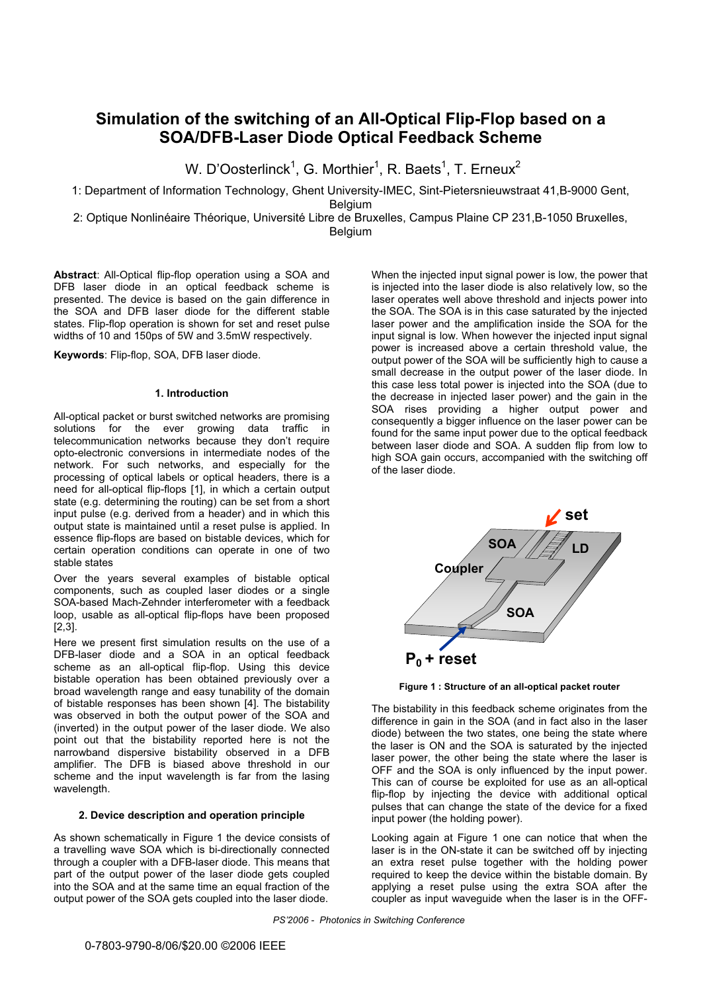# **Simulation of the switching of an All-Optical Flip-Flop based on a SOA/DFB-Laser Diode Optical Feedback Scheme**

W. D'Oosterlinck $^1$ , G. Morthier $^1$ , R. Baets $^1$ , T. Erneux $^2$ 

1: Department of Information Technology, Ghent University-IMEC, Sint-Pietersnieuwstraat 41,B-9000 Gent,

Belgium

2: Optique Nonlinéaire Théorique, Université Libre de Bruxelles, Campus Plaine CP 231, B-1050 Bruxelles, Belgium

**Abstract**: All-Optical flip-flop operation using a SOA and DFB laser diode in an optical feedback scheme is presented. The device is based on the gain difference in the SOA and DFB laser diode for the different stable states. Flip-flop operation is shown for set and reset pulse widths of 10 and 150ps of 5W and 3.5mW respectively.

**Keywords**: Flip-flop, SOA, DFB laser diode.

# **1. Introduction**

All-optical packet or burst switched networks are promising solutions for the ever growing data traffic in telecommunication networks because they don't require opto-electronic conversions in intermediate nodes of the network. For such networks, and especially for the processing of optical labels or optical headers, there is a need for all-optical flip-flops [1], in which a certain output state (e.g. determining the routing) can be set from a short input pulse (e.g. derived from a header) and in which this output state is maintained until a reset pulse is applied. In essence flip-flops are based on bistable devices, which for certain operation conditions can operate in one of two stable states

Over the years several examples of bistable optical components, such as coupled laser diodes or a single SOA-based Mach-Zehnder interferometer with a feedback loop, usable as all-optical flip-flops have been proposed [2,3].

Here we present first simulation results on the use of a DFB-laser diode and a SOA in an optical feedback scheme as an all-optical flip-flop. Using this device bistable operation has been obtained previously over a broad wavelength range and easy tunability of the domain of bistable responses has been shown [4]. The bistability was observed in both the output power of the SOA and (inverted) in the output power of the laser diode. We also point out that the bistability reported here is not the narrowband dispersive bistability observed in a DFB amplifier. The DFB is biased above threshold in our scheme and the input wavelength is far from the lasing wavelength.

# **2. Device description and operation principle**

As shown schematically in Figure 1 the device consists of a travelling wave SOA which is bi-directionally connected through a coupler with a DFB-laser diode. This means that part of the output power of the laser diode gets coupled into the SOA and at the same time an equal fraction of the output power of the SOA gets coupled into the laser diode.

When the injected input signal power is low, the power that is injected into the laser diode is also relatively low, so the laser operates well above threshold and injects power into the SOA. The SOA is in this case saturated by the injected laser power and the amplification inside the SOA for the input signal is low. When however the injected input signal power is increased above a certain threshold value, the output power of the SOA will be sufficiently high to cause a small decrease in the output power of the laser diode. In this case less total power is injected into the SOA (due to the decrease in injected laser power) and the gain in the SOA rises providing a higher output power and consequently a bigger influence on the laser power can be found for the same input power due to the optical feedback between laser diode and SOA. A sudden flip from low to high SOA gain occurs, accompanied with the switching off of the laser diode.



**Figure 1 : Structure of an all-optical packet router**

The bistability in this feedback scheme originates from the difference in gain in the SOA (and in fact also in the laser diode) between the two states, one being the state where the laser is ON and the SOA is saturated by the injected laser power, the other being the state where the laser is OFF and the SOA is only influenced by the input power. This can of course be exploited for use as an all-optical flip-flop by injecting the device with additional optical pulses that can change the state of the device for a fixed input power (the holding power).

Looking again at Figure 1 one can notice that when the laser is in the ON-state it can be switched off by injecting an extra reset pulse together with the holding power required to keep the device within the bistable domain. By applying a reset pulse using the extra SOA after the coupler as input waveguide when the laser is in the OFF-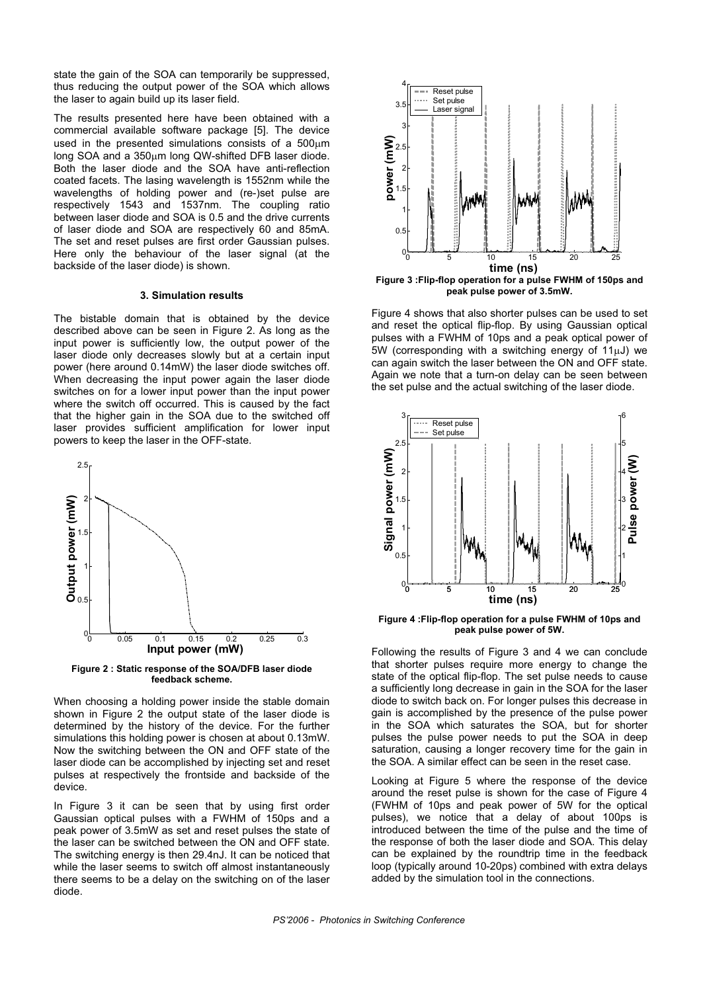state the gain of the SOA can temporarily be suppressed, thus reducing the output power of the SOA which allows the laser to again build up its laser field.

The results presented here have been obtained with a commercial available software package [5]. The device used in the presented simulations consists of a  $500 \mu m$ long SOA and a  $350\mu$ m long QW-shifted DFB laser diode. Both the laser diode and the SOA have anti-reflection coated facets. The lasing wavelength is 1552nm while the wavelengths of holding power and (re-)set pulse are respectively 1543 and 1537nm. The coupling ratio between laser diode and SOA is 0.5 and the drive currents of laser diode and SOA are respectively 60 and 85mA. The set and reset pulses are first order Gaussian pulses. Here only the behaviour of the laser signal (at the backside of the laser diode) is shown.

## **3. Simulation results**

The bistable domain that is obtained by the device described above can be seen in Figure 2. As long as the input power is sufficiently low, the output power of the laser diode only decreases slowly but at a certain input power (here around 0.14mW) the laser diode switches off. When decreasing the input power again the laser diode switches on for a lower input power than the input power where the switch off occurred. This is caused by the fact that the higher gain in the SOA due to the switched off laser provides sufficient amplification for lower input powers to keep the laser in the OFF-state.



**Figure 2 : Static response of the SOA/DFB laser diode feedback scheme.**

When choosing a holding power inside the stable domain shown in Figure 2 the output state of the laser diode is determined by the history of the device. For the further simulations this holding power is chosen at about 0.13mW. Now the switching between the ON and OFF state of the laser diode can be accomplished by injecting set and reset pulses at respectively the frontside and backside of the device.

In Figure 3 it can be seen that by using first order diode. Gaussian optical pulses with a FWHM of 150ps and a peak power of 3.5mW as set and reset pulses the state of the laser can be switched between the ON and OFF state. The switching energy is then 29.4nJ. It can be noticed that while the laser seems to switch off almost instantaneously there seems to be a delay on the switching on of the laser



**Figure 3 :Flip-flop operation for a pulse FWHM of 150ps and peak pulse power of 3.5mW.**

F igure 4 shows that also shorter pulses can be used to set and reset the optical flip-flop. By using Gaussian optical pulses with a FWHM of 10ps and a peak optical power of  $5W$  (corresponding with a switching energy of  $11\mu J$ ) we can again switch the laser between the ON and OFF state. Again we note that a turn-on delay can be seen between the set pulse and the actual switching of the laser diode.



**Figure 4 :Flip-flop operation for a pulse FWHM of 10ps and peak pulse power of 5W.** 

F ollowing the results of Figure 3 and 4 we can conclude that shorter pulses require more energy to change the state of the optical flip-flop. The set pulse needs to cause a sufficiently long decrease in gain in the SOA for the laser diode to switch back on. For longer pulses this decrease in gain is accomplished by the presence of the pulse power in the SOA which saturates the SOA, but for shorter pulses the pulse power needs to put the SOA in deep saturation, causing a longer recovery time for the gain in the SOA. A similar effect can be seen in the reset case.

(FWHM of 10ps and peak power of 5W for the optical Looking at Figure 5 where the response of the device around the reset pulse is shown for the case of Figure 4 pulses), we notice that a delay of about 100ps is introduced between the time of the pulse and the time of the response of both the laser diode and SOA. This delay can be explained by the roundtrip time in the feedback loop (typically around 10-20ps) combined with extra delays added by the simulation tool in the connections.